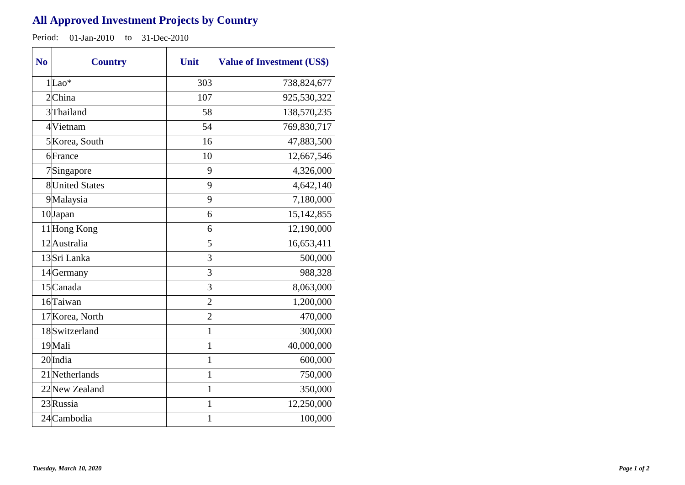## **All Approved Investment Projects by Country**

Period: 01-Jan-2010 to 31-Dec-2010

| N <sub>0</sub> | <b>Country</b>         | Unit           | <b>Value of Investment (US\$)</b> |
|----------------|------------------------|----------------|-----------------------------------|
|                | $1 $ Lao*              | 303            | 738,824,677                       |
|                | 2China                 | 107            | 925,530,322                       |
|                | 3 Thailand             | 58             | 138,570,235                       |
|                | 4 Vietnam              | 54             | 769,830,717                       |
|                | 5 Korea, South         | 16             | 47,883,500                        |
|                | 6France                | 10             | 12,667,546                        |
|                | 7Singapore             | 9              | 4,326,000                         |
|                | <b>8</b> United States | 9              | 4,642,140                         |
|                | 9Malaysia              | 9              | 7,180,000                         |
|                | 10Japan                | 6              | 15,142,855                        |
|                | 11 Hong Kong           | 6              | 12,190,000                        |
|                | 12 Australia           | 5              | 16,653,411                        |
|                | 13Sri Lanka            | 3              | 500,000                           |
|                | 14 Germany             | 3              | 988,328                           |
|                | 15 Canada              | 3              | 8,063,000                         |
|                | 16 Taiwan              | $\overline{c}$ | 1,200,000                         |
|                | 17 Korea, North        | $\overline{c}$ | 470,000                           |
|                | 18Switzerland          | $\mathbf{1}$   | 300,000                           |
|                | 19 Mali                | $\mathbf 1$    | 40,000,000                        |
|                | 20 India               | $\mathbf{1}$   | 600,000                           |
|                | 21 Netherlands         | 1              | 750,000                           |
|                | 22 New Zealand         | $\mathbf{1}$   | 350,000                           |
|                | 23 Russia              | $\mathbf 1$    | 12,250,000                        |
|                | 24 Cambodia            | 1              | 100,000                           |